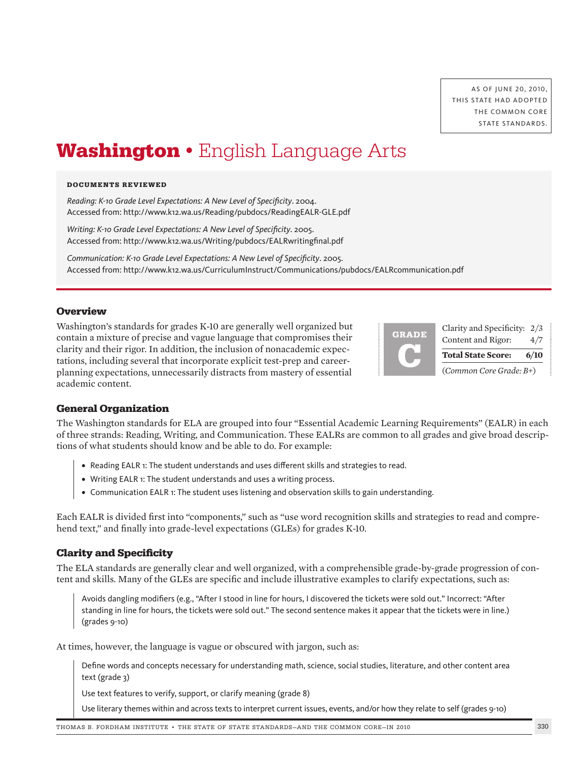# **Washington** • English Language Arts

#### **DOCUMENTS REVIEWED**

*Reading: K-10 Grade Level Expectations: A New Level of Specificity*. 2004. Accessed from: http://www.k12.wa.us/Reading/pubdocs/ReadingEALR-GLE.pdf

*Writing: K-10 Grade Level Expectations: A New Level of Specificity*. 2005. Accessed from: http://www.k12.wa.us/Writing/pubdocs/EALRwritingfinal.pdf

*Communication: K-10 Grade Level Expectations: A New Level of Specificity*. 2005. Accessed from: http://www.k12.wa.us/CurriculumInstruct/Communications/pubdocs/EALRcommunication.pdf

## **Overview**

Washington's standards for grades K-10 are generally well organized but contain a mixture of precise and vague language that compromises their clarity and their rigor. In addition, the inclusion of nonacademic expectations, including several that incorporate explicit test-prep and careerplanning expectations, unnecessarily distracts from mastery of essential academic content.

| <b>GRADE</b> | Clarity and Specificity: 2/3<br>Content and Rigor: | 4/7  |
|--------------|----------------------------------------------------|------|
|              | <b>Total State Score:</b>                          | 6/10 |
|              | (Common Core Grade: B+)                            |      |

## **General Organization**

The Washington standards for ELA are grouped into four "Essential Academic Learning Requirements" (EALR) in each of three strands: Reading, Writing, and Communication. These EALRs are common to all grades and give broad descriptions of what students should know and be able to do. For example:

- **•** Reading EALR 1: The student understands and uses different skills and strategies to read.
- **•** Writing EALR 1: The student understands and uses a writing process.
- **•** Communication EALR 1: The student uses listening and observation skills to gain understanding.

Each EALR is divided first into "components," such as "use word recognition skills and strategies to read and comprehend text," and finally into grade-level expectations (GLEs) for grades K-10.

## **Clarity and Specificity**

The ELA standards are generally clear and well organized, with a comprehensible grade-by-grade progression of content and skills. Many of the GLEs are specific and include illustrative examples to clarify expectations, such as:

Avoids dangling modifiers (e.g., "After I stood in line for hours, I discovered the tickets were sold out." Incorrect: "After standing in line for hours, the tickets were sold out." The second sentence makes it appear that the tickets were in line.) (grades 9-10)

At times, however, the language is vague or obscured with jargon, such as:

Define words and concepts necessary for understanding math, science, social studies, literature, and other content area text (grade 3)

Use text features to verify, support, or clarify meaning (grade 8)

Use literary themes within and across texts to interpret current issues, events, and/or how they relate to self (grades 9-10)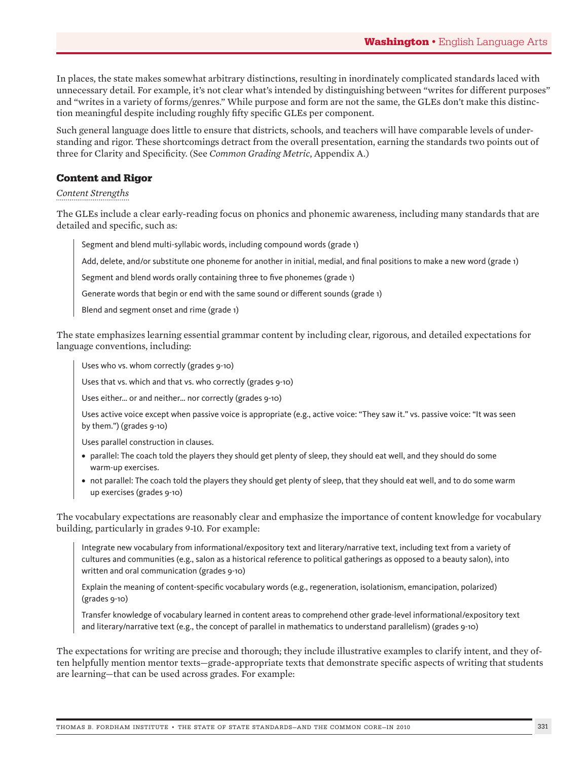In places, the state makes somewhat arbitrary distinctions, resulting in inordinately complicated standards laced with unnecessary detail. For example, it's not clear what's intended by distinguishing between "writes for different purposes" and "writes in a variety of forms/genres." While purpose and form are not the same, the GLEs don't make this distinction meaningful despite including roughly fifty specific GLEs per component.

Such general language does little to ensure that districts, schools, and teachers will have comparable levels of understanding and rigor. These shortcomings detract from the overall presentation, earning the standards two points out of three for Clarity and Specificity. (See *Common Grading Metric*, Appendix A.)

# **Content and Rigor**

# *Content Strengths*

The GLEs include a clear early-reading focus on phonics and phonemic awareness, including many standards that are detailed and specific, such as:

Segment and blend multi-syllabic words, including compound words (grade 1)

Add, delete, and/or substitute one phoneme for another in initial, medial, and final positions to make a new word (grade 1)

Segment and blend words orally containing three to five phonemes (grade 1)

Generate words that begin or end with the same sound or different sounds (grade 1)

Blend and segment onset and rime (grade 1)

The state emphasizes learning essential grammar content by including clear, rigorous, and detailed expectations for language conventions, including:

Uses who vs. whom correctly (grades 9-10)

Uses that vs. which and that vs. who correctly (grades 9-10)

Uses either… or and neither… nor correctly (grades 9-10)

Uses active voice except when passive voice is appropriate (e.g., active voice: "They saw it." vs. passive voice: "It was seen by them.") (grades 9-10)

Uses parallel construction in clauses.

- **•** parallel: The coach told the players they should get plenty of sleep, they should eat well, and they should do some warm-up exercises.
- **•** not parallel: The coach told the players they should get plenty of sleep, that they should eat well, and to do some warm up exercises (grades 9-10)

The vocabulary expectations are reasonably clear and emphasize the importance of content knowledge for vocabulary building, particularly in grades 9-10. For example:

Integrate new vocabulary from informational/expository text and literary/narrative text, including text from a variety of cultures and communities (e.g., salon as a historical reference to political gatherings as opposed to a beauty salon), into written and oral communication (grades 9-10)

Explain the meaning of content-specific vocabulary words (e.g., regeneration, isolationism, emancipation, polarized) (grades 9-10)

Transfer knowledge of vocabulary learned in content areas to comprehend other grade-level informational/expository text and literary/narrative text (e.g., the concept of parallel in mathematics to understand parallelism) (grades 9-10)

The expectations for writing are precise and thorough; they include illustrative examples to clarify intent, and they often helpfully mention mentor texts—grade-appropriate texts that demonstrate specific aspects of writing that students are learning—that can be used across grades. For example: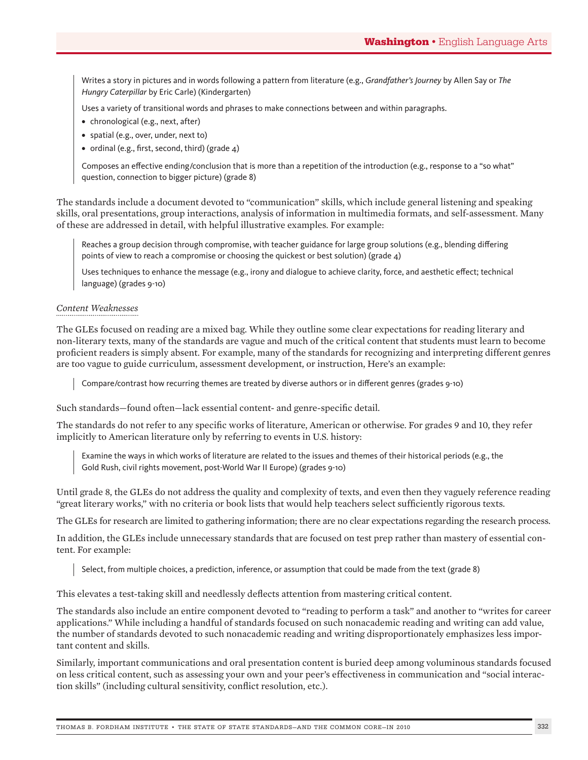Writes a story in pictures and in words following a pattern from literature (e.g., *Grandfather's Journey* by Allen Say or *The Hungry Caterpillar* by Eric Carle) (Kindergarten)

Uses a variety of transitional words and phrases to make connections between and within paragraphs.

- **•** chronological (e.g., next, after)
- **•** spatial (e.g., over, under, next to)
- **•** ordinal (e.g., first, second, third) (grade 4)

Composes an effective ending/conclusion that is more than a repetition of the introduction (e.g., response to a "so what" question, connection to bigger picture) (grade 8)

The standards include a document devoted to "communication" skills, which include general listening and speaking skills, oral presentations, group interactions, analysis of information in multimedia formats, and self-assessment. Many of these are addressed in detail, with helpful illustrative examples. For example:

Reaches a group decision through compromise, with teacher guidance for large group solutions (e.g., blending differing points of view to reach a compromise or choosing the quickest or best solution) (grade 4)

Uses techniques to enhance the message (e.g., irony and dialogue to achieve clarity, force, and aesthetic effect; technical language) (grades 9-10)

## *Content Weaknesses*

The GLEs focused on reading are a mixed bag. While they outline some clear expectations for reading literary and non-literary texts, many of the standards are vague and much of the critical content that students must learn to become proficient readers is simply absent. For example, many of the standards for recognizing and interpreting different genres are too vague to guide curriculum, assessment development, or instruction, Here's an example:

Compare/contrast how recurring themes are treated by diverse authors or in different genres (grades 9-10)

Such standards—found often—lack essential content- and genre-specific detail.

The standards do not refer to any specific works of literature, American or otherwise. For grades 9 and 10, they refer implicitly to American literature only by referring to events in U.S. history:

Examine the ways in which works of literature are related to the issues and themes of their historical periods (e.g., the Gold Rush, civil rights movement, post-World War II Europe) (grades 9-10)

Until grade 8, the GLEs do not address the quality and complexity of texts, and even then they vaguely reference reading "great literary works," with no criteria or book lists that would help teachers select sufficiently rigorous texts.

The GLEs for research are limited to gathering information; there are no clear expectations regarding the research process.

In addition, the GLEs include unnecessary standards that are focused on test prep rather than mastery of essential content. For example:

Select, from multiple choices, a prediction, inference, or assumption that could be made from the text (grade 8)

This elevates a test-taking skill and needlessly deflects attention from mastering critical content.

The standards also include an entire component devoted to "reading to perform a task" and another to "writes for career applications." While including a handful of standards focused on such nonacademic reading and writing can add value, the number of standards devoted to such nonacademic reading and writing disproportionately emphasizes less important content and skills.

Similarly, important communications and oral presentation content is buried deep among voluminous standards focused on less critical content, such as assessing your own and your peer's effectiveness in communication and "social interaction skills" (including cultural sensitivity, conflict resolution, etc.).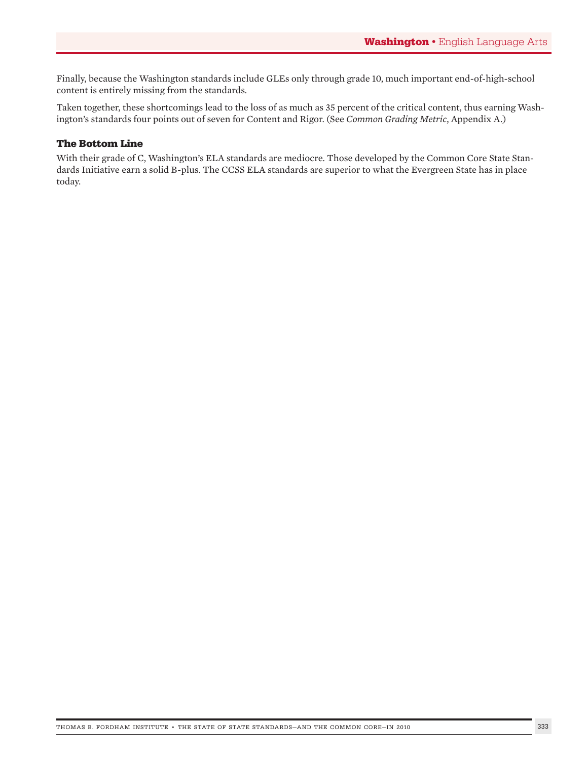Finally, because the Washington standards include GLEs only through grade 10, much important end-of-high-school content is entirely missing from the standards.

Taken together, these shortcomings lead to the loss of as much as 35 percent of the critical content, thus earning Washington's standards four points out of seven for Content and Rigor. (See *Common Grading Metric*, Appendix A.)

# **The Bottom Line**

With their grade of C, Washington's ELA standards are mediocre. Those developed by the Common Core State Standards Initiative earn a solid B-plus. The CCSS ELA standards are superior to what the Evergreen State has in place today.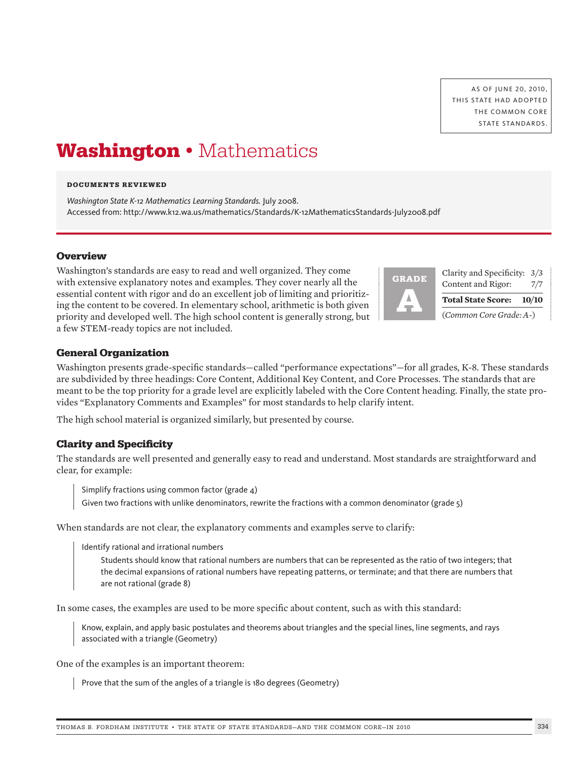AS OF JUNE 20, 2010, THIS STATE HAD ADOPTED THE COMMON CORE STATE STANDARDS.

# **Washington** • Mathematics

#### **DOCUMENTS REVIEWED**

*Washington State K-12 Mathematics Learning Standards.* July 2008. Accessed from: http://www.k12.wa.us/mathematics/Standards/K-12MathematicsStandards-July2008.pdf

## **Overview**

Washington's standards are easy to read and well organized. They come with extensive explanatory notes and examples. They cover nearly all the essential content with rigor and do an excellent job of limiting and prioritizing the content to be covered. In elementary school, arithmetic is both given priority and developed well. The high school content is generally strong, but a few STEM-ready topics are not included.



| <b>RADE</b> | Clarity and Specificity: 3/3<br>Content and Rigor: | 7/7 |  |
|-------------|----------------------------------------------------|-----|--|
|             | Total State Score: 10/10                           |     |  |
|             | (Common Core Grade: A-)                            |     |  |

## **General Organization**

Washington presents grade-specific standards—called "performance expectations"—for all grades, K-8. These standards are subdivided by three headings: Core Content, Additional Key Content, and Core Processes. The standards that are meant to be the top priority for a grade level are explicitly labeled with the Core Content heading. Finally, the state provides "Explanatory Comments and Examples" for most standards to help clarify intent.

The high school material is organized similarly, but presented by course.

# **Clarity and Specificity**

The standards are well presented and generally easy to read and understand. Most standards are straightforward and clear, for example:

Simplify fractions using common factor (grade 4)

Given two fractions with unlike denominators, rewrite the fractions with a common denominator (grade 5)

When standards are not clear, the explanatory comments and examples serve to clarify:

Identify rational and irrational numbers

 Students should know that rational numbers are numbers that can be represented as the ratio of two integers; that the decimal expansions of rational numbers have repeating patterns, or terminate; and that there are numbers that are not rational (grade 8)

In some cases, the examples are used to be more specific about content, such as with this standard:

Know, explain, and apply basic postulates and theorems about triangles and the special lines, line segments, and rays associated with a triangle (Geometry)

One of the examples is an important theorem:

Prove that the sum of the angles of a triangle is 180 degrees (Geometry)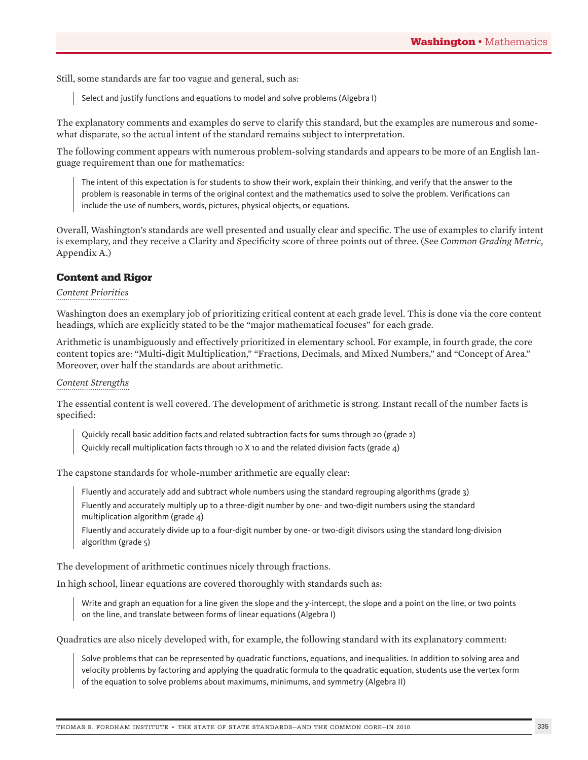Still, some standards are far too vague and general, such as:

Select and justify functions and equations to model and solve problems (Algebra I)

The explanatory comments and examples do serve to clarify this standard, but the examples are numerous and somewhat disparate, so the actual intent of the standard remains subject to interpretation.

The following comment appears with numerous problem-solving standards and appears to be more of an English language requirement than one for mathematics:

The intent of this expectation is for students to show their work, explain their thinking, and verify that the answer to the problem is reasonable in terms of the original context and the mathematics used to solve the problem. Verifications can include the use of numbers, words, pictures, physical objects, or equations.

Overall, Washington's standards are well presented and usually clear and specific. The use of examples to clarify intent is exemplary, and they receive a Clarity and Specificity score of three points out of three. (See *Common Grading Metric*, Appendix A.)

# **Content and Rigor**

## *Content Priorities*

Washington does an exemplary job of prioritizing critical content at each grade level. This is done via the core content headings, which are explicitly stated to be the "major mathematical focuses" for each grade.

Arithmetic is unambiguously and effectively prioritized in elementary school. For example, in fourth grade, the core content topics are: "Multi-digit Multiplication," "Fractions, Decimals, and Mixed Numbers," and "Concept of Area." Moreover, over half the standards are about arithmetic.

## *Content Strengths*

The essential content is well covered. The development of arithmetic is strong. Instant recall of the number facts is specified:

Quickly recall basic addition facts and related subtraction facts for sums through 20 (grade 2) Quickly recall multiplication facts through 10 X 10 and the related division facts (grade 4)

The capstone standards for whole-number arithmetic are equally clear:

Fluently and accurately add and subtract whole numbers using the standard regrouping algorithms (grade 3) Fluently and accurately multiply up to a three-digit number by one- and two-digit numbers using the standard multiplication algorithm (grade  $4$ )

Fluently and accurately divide up to a four-digit number by one- or two-digit divisors using the standard long-division algorithm (grade 5)

The development of arithmetic continues nicely through fractions.

In high school, linear equations are covered thoroughly with standards such as:

Write and graph an equation for a line given the slope and the y-intercept, the slope and a point on the line, or two points on the line, and translate between forms of linear equations (Algebra I)

Quadratics are also nicely developed with, for example, the following standard with its explanatory comment:

Solve problems that can be represented by quadratic functions, equations, and inequalities. In addition to solving area and velocity problems by factoring and applying the quadratic formula to the quadratic equation, students use the vertex form of the equation to solve problems about maximums, minimums, and symmetry (Algebra II)